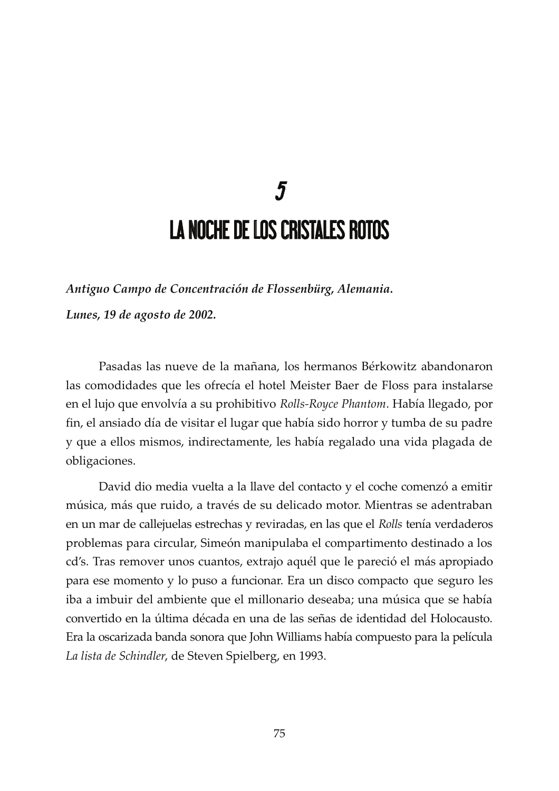## $\overline{\mathbf{z}}$ **LA NOCHE DE LOS CRISTALES ROTOS**

Antiguo Campo de Concentración de Flossenbürg, Alemania. Lunes, 19 de agosto de 2002.

Pasadas las nueve de la mañana, los hermanos Bérkowitz abandonaron las comodidades que les ofrecía el hotel Meister Baer de Floss para instalarse en el lujo que envolvía a su prohibitivo Rolls-Royce Phantom. Había llegado, por fin, el ansiado día de visitar el lugar que había sido horror y tumba de su padre y que a ellos mismos, indirectamente, les había regalado una vida plagada de obligaciones.

David dio media vuelta a la llave del contacto y el coche comenzó a emitir música, más que ruido, a través de su delicado motor. Mientras se adentraban en un mar de callejuelas estrechas y reviradas, en las que el Rolls tenía verdaderos problemas para circular, Simeón manipulaba el compartimento destinado a los cd's. Tras remover unos cuantos, extrajo aquél que le pareció el más apropiado para ese momento y lo puso a funcionar. Era un disco compacto que seguro les iba a imbuir del ambiente que el millonario deseaba; una música que se había convertido en la última década en una de las señas de identidad del Holocausto. Era la oscarizada banda sonora que John Williams había compuesto para la película La lista de Schindler, de Steven Spielberg, en 1993.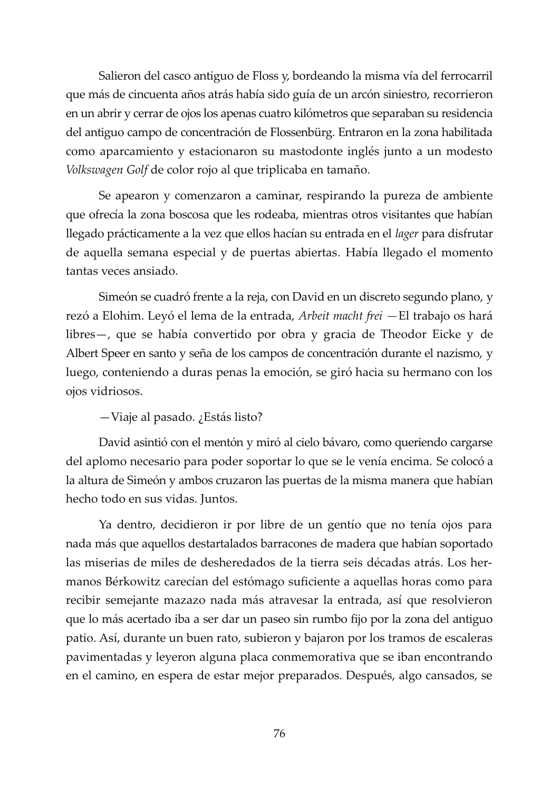Salieron del casco antiguo de Floss y, bordeando la misma vía del ferrocarril que más de cincuenta años atrás había sido guía de un arcón siniestro, recorrieron en un abrir y cerrar de ojos los apenas cuatro kilómetros que separaban su residencia del antiguo campo de concentración de Flossenbürg. Entraron en la zona habilitada como aparcamiento y estacionaron su mastodonte inglés junto a un modesto Volkswagen Golf de color rojo al que triplicaba en tamaño.

Se apearon y comenzaron a caminar, respirando la pureza de ambiente que ofrecía la zona boscosa que les rodeaba, mientras otros visitantes que habían llegado prácticamente a la vez que ellos hacían su entrada en el lager para disfrutar de aquella semana especial y de puertas abiertas. Había llegado el momento tantas veces ansiado.

Simeón se cuadró frente a la reja, con David en un discreto segundo plano, y rezó a Elohim. Leyó el lema de la entrada, Arbeit macht frei - El trabajo os hará libres-, que se había convertido por obra y gracia de Theodor Eicke y de Albert Speer en santo y seña de los campos de concentración durante el nazismo, y luego, conteniendo a duras penas la emoción, se giró hacia su hermano con los ojos vidriosos.

-Viaje al pasado. ¿Estás listo?

David asintió con el mentón y miró al cielo bávaro, como queriendo cargarse del aplomo necesario para poder soportar lo que se le venía encima. Se colocó a la altura de Simeón y ambos cruzaron las puertas de la misma manera que habían hecho todo en sus vidas. Juntos.

Ya dentro, decidieron ir por libre de un gentío que no tenía ojos para nada más que aquellos destartalados barracones de madera que habían soportado las miserias de miles de desheredados de la tierra seis décadas atrás. Los hermanos Bérkowitz carecían del estómago suficiente a aquellas horas como para recibir semejante mazazo nada más atravesar la entrada, así que resolvieron que lo más acertado iba a ser dar un paseo sin rumbo fijo por la zona del antiguo patio. Así, durante un buen rato, subieron y bajaron por los tramos de escaleras pavimentadas y leyeron alguna placa conmemorativa que se iban encontrando en el camino, en espera de estar mejor preparados. Después, algo cansados, se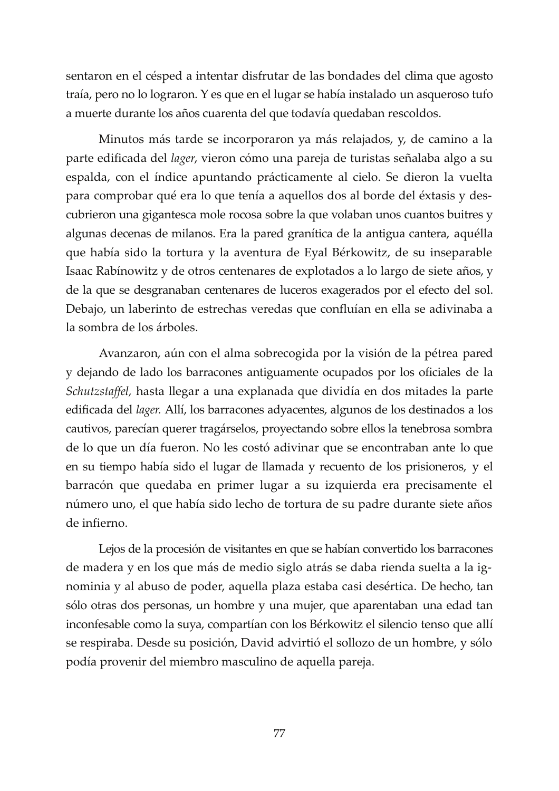sentaron en el césped a intentar disfrutar de las bondades del clima que agosto traía, pero no lo lograron. Y es que en el lugar se había instalado un asqueroso tufo a muerte durante los años cuarenta del que todavía quedaban rescoldos.

Minutos más tarde se incorporaron ya más relajados, y, de camino a la parte edificada del *lager*, vieron cómo una pareja de turistas señalaba algo a su espalda, con el índice apuntando prácticamente al cielo. Se dieron la vuelta para comprobar qué era lo que tenía a aquellos dos al borde del éxtasis y descubrieron una gigantesca mole rocosa sobre la que volaban unos cuantos buitres y algunas decenas de milanos. Era la pared granítica de la antigua cantera, aquélla que había sido la tortura y la aventura de Eyal Bérkowitz, de su inseparable Isaac Rabínowitz y de otros centenares de explotados a lo largo de siete años, y de la que se desgranaban centenares de luceros exagerados por el efecto del sol. Debajo, un laberinto de estrechas veredas que confluían en ella se adivinaba a la sombra de los árboles.

Avanzaron, aún con el alma sobrecogida por la visión de la pétrea pared y dejando de lado los barracones antiguamente ocupados por los oficiales de la Schutzstaffel, hasta llegar a una explanada que dividía en dos mitades la parte edificada del *lager*. Allí, los barracones adyacentes, algunos de los destinados a los cautivos, parecían querer tragárselos, proyectando sobre ellos la tenebrosa sombra de lo que un día fueron. No les costó adivinar que se encontraban ante lo que en su tiempo había sido el lugar de llamada y recuento de los prisioneros, y el barracón que quedaba en primer lugar a su izquierda era precisamente el número uno, el que había sido lecho de tortura de su padre durante siete años de infierno.

Lejos de la procesión de visitantes en que se habían convertido los barracones de madera y en los que más de medio siglo atrás se daba rienda suelta a la ignominia y al abuso de poder, aquella plaza estaba casi desértica. De hecho, tan sólo otras dos personas, un hombre y una mujer, que aparentaban una edad tan inconfesable como la suya, compartían con los Bérkowitz el silencio tenso que allí se respiraba. Desde su posición, David advirtió el sollozo de un hombre, y sólo podía provenir del miembro masculino de aquella pareja.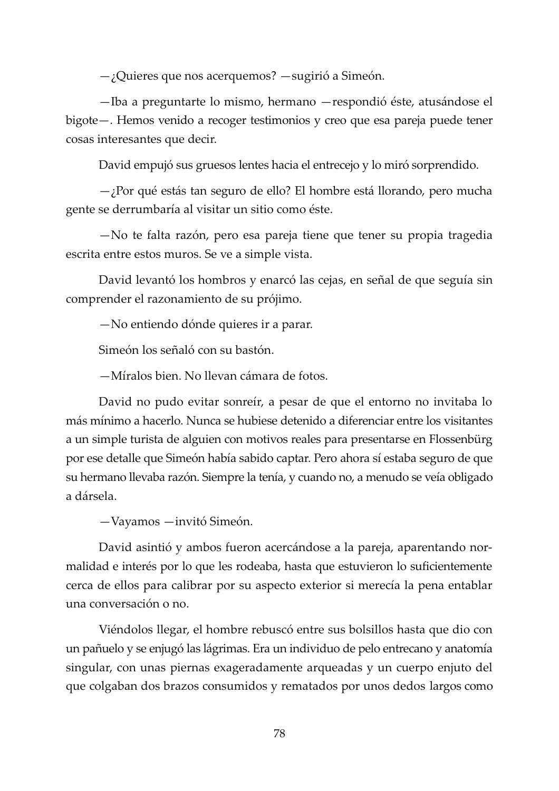$-$  ¿Quieres que nos acerquemos?  $-$  sugirió a Simeón.

-Iba a preguntarte lo mismo, hermano - respondió éste, atusándose el bigote - Hemos venido a recoger testimonios y creo que esa pareja puede tener cosas interesantes que decir.

David empujó sus gruesos lentes hacia el entrecejo y lo miró sorprendido.

 $\rightarrow$  Por qué estás tan seguro de ello? El hombre está llorando, pero mucha gente se derrumbaría al visitar un sitio como éste.

-No te falta razón, pero esa pareja tiene que tener su propia tragedia escrita entre estos muros. Se ve a simple vista.

David levantó los hombros y enarcó las cejas, en señal de que seguía sin comprender el razonamiento de su prójimo.

-No entiendo dónde quieres ir a parar.

Simeón los señaló con su bastón.

-Míralos bien. No llevan cámara de fotos.

David no pudo evitar sonreír, a pesar de que el entorno no invitaba lo más mínimo a hacerlo. Nunca se hubiese detenido a diferenciar entre los visitantes a un simple turista de alguien con motivos reales para presentarse en Flossenbürg por ese detalle que Simeón había sabido captar. Pero ahora sí estaba seguro de que su hermano llevaba razón. Siempre la tenía, y cuando no, a menudo se veía obligado a dársela.

-Vayamos - invitó Simeón.

David asintió y ambos fueron acercándose a la pareja, aparentando normalidad e interés por lo que les rodeaba, hasta que estuvieron lo suficientemente cerca de ellos para calibrar por su aspecto exterior si merecía la pena entablar una conversación o no.

Viéndolos llegar, el hombre rebuscó entre sus bolsillos hasta que dio con un pañuelo y se enjugó las lágrimas. Era un individuo de pelo entrecano y anatomía singular, con unas piernas exageradamente arqueadas y un cuerpo enjuto del que colgaban dos brazos consumidos y rematados por unos dedos largos como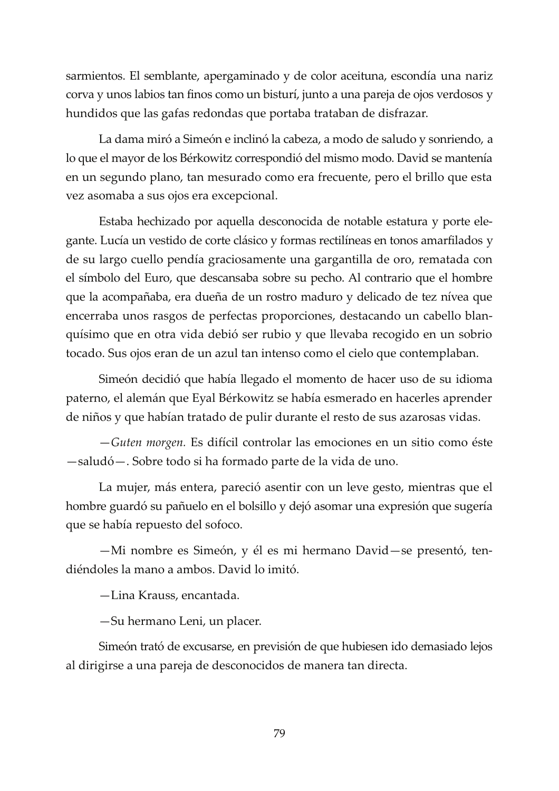sarmientos. El semblante, apergaminado y de color aceituna, escondía una nariz corva y unos labios tan finos como un bisturí, junto a una pareja de ojos verdosos y hundidos que las gafas redondas que portaba trataban de disfrazar.

La dama miró a Simeón e inclinó la cabeza, a modo de saludo y sonriendo, a lo que el mayor de los Bérkowitz correspondió del mismo modo. David se mantenía en un segundo plano, tan mesurado como era frecuente, pero el brillo que esta vez asomaba a sus ojos era excepcional.

Estaba hechizado por aquella desconocida de notable estatura y porte elegante. Lucía un vestido de corte clásico y formas rectilíneas en tonos amarfilados y de su largo cuello pendía graciosamente una gargantilla de oro, rematada con el símbolo del Euro, que descansaba sobre su pecho. Al contrario que el hombre que la acompañaba, era dueña de un rostro maduro y delicado de tez nívea que encerraba unos rasgos de perfectas proporciones, destacando un cabello blanquísimo que en otra vida debió ser rubio y que llevaba recogido en un sobrio tocado. Sus ojos eran de un azul tan intenso como el cielo que contemplaban.

Simeón decidió que había llegado el momento de hacer uso de su idioma paterno, el alemán que Eyal Bérkowitz se había esmerado en hacerles aprender de niños y que habían tratado de pulir durante el resto de sus azarosas vidas.

-Guten morgen. Es difícil controlar las emociones en un sitio como éste -saludó - Sobre todo si ha formado parte de la vida de uno.

La mujer, más entera, pareció asentir con un leve gesto, mientras que el hombre guardó su pañuelo en el bolsillo y dejó asomar una expresión que sugería que se había repuesto del sofoco.

-Mi nombre es Simeón, y él es mi hermano David-se presentó, tendiéndoles la mano a ambos. David lo imitó.

-Lina Krauss, encantada.

-Su hermano Leni, un placer.

Simeón trató de excusarse, en previsión de que hubiesen ido demasiado lejos al dirigirse a una pareja de desconocidos de manera tan directa.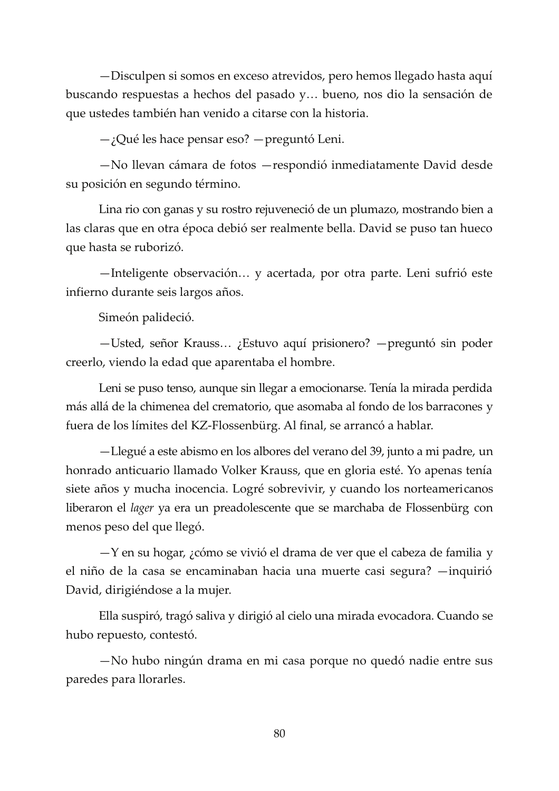-Disculpen si somos en exceso atrevidos, pero hemos llegado hasta aquí buscando respuestas a hechos del pasado y... bueno, nos dio la sensación de que ustedes también han venido a citarse con la historia.

 $-$ ; Qué les hace pensar eso? — preguntó Leni.

-No llevan cámara de fotos - respondió inmediatamente David desde su posición en segundo término.

Lina rio con ganas y su rostro rejuveneció de un plumazo, mostrando bien a las claras que en otra época debió ser realmente bella. David se puso tan hueco que hasta se ruborizó.

-Inteligente observación... y acertada, por otra parte. Leni sufrió este infierno durante seis largos años.

Simeón palideció.

-Usted, señor Krauss...; Estuvo aquí prisionero? - preguntó sin poder creerlo, viendo la edad que aparentaba el hombre.

Leni se puso tenso, aunque sin llegar a emocionarse. Tenía la mirada perdida más allá de la chimenea del crematorio, que asomaba al fondo de los barracones y fuera de los límites del KZ-Flossenbürg. Al final, se arrancó a hablar.

-Llegué a este abismo en los albores del verano del 39, junto a mi padre, un honrado anticuario llamado Volker Krauss, que en gloria esté. Yo apenas tenía siete años y mucha inocencia. Logré sobrevivir, y cuando los norteamericanos liberaron el *lager* ya era un preadolescente que se marchaba de Flossenbürg con menos peso del que llegó.

 $-Y$  en su hogar,  $\chi$ cómo se vivió el drama de ver que el cabeza de familia y el niño de la casa se encaminaban hacia una muerte casi segura? — inquirió David, dirigiéndose a la mujer.

Ella suspiró, tragó saliva y dirigió al cielo una mirada evocadora. Cuando se hubo repuesto, contestó.

-No hubo ningún drama en mi casa porque no quedó nadie entre sus paredes para llorarles.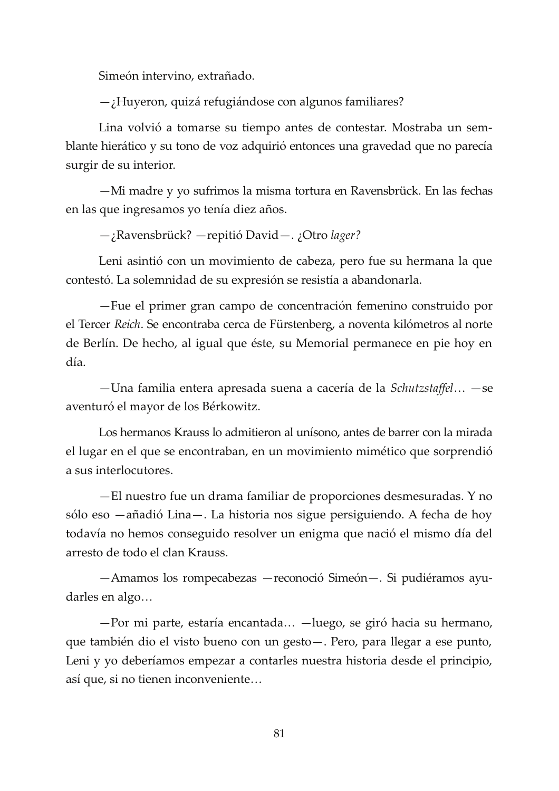Simeón intervino, extrañado.

 $-$ ¿Huyeron, quizá refugiándose con algunos familiares?

Lina volvió a tomarse su tiempo antes de contestar. Mostraba un semblante hierático y su tono de voz adquirió entonces una gravedad que no parecía surgir de su interior.

-Mi madre y yo sufrimos la misma tortura en Ravensbrück. En las fechas en las que ingresamos yo tenía diez años.

-¿Ravensbrück? - repitió David - . ¿Otro lager?

Leni asintió con un movimiento de cabeza, pero fue su hermana la que contestó. La solemnidad de su expresión se resistía a abandonarla.

-Fue el primer gran campo de concentración femenino construido por el Tercer Reich. Se encontraba cerca de Fürstenberg, a noventa kilómetros al norte de Berlín. De hecho, al igual que éste, su Memorial permanece en pie hoy en día.

-Una familia entera apresada suena a cacería de la Schutzstaffel... - se aventuró el mayor de los Bérkowitz.

Los hermanos Krauss lo admitieron al unísono, antes de barrer con la mirada el lugar en el que se encontraban, en un movimiento mimético que sorprendió a sus interlocutores.

-El nuestro fue un drama familiar de proporciones desmesuradas. Y no sólo eso —añadió Lina—. La historia nos sigue persiguiendo. A fecha de hoy todavía no hemos conseguido resolver un enigma que nació el mismo día del arresto de todo el clan Krauss.

-Amamos los rompecabezas - reconoció Simeón-. Si pudiéramos ayudarles en algo...

-Por mi parte, estaría encantada... -luego, se giró hacia su hermano, que también dio el visto bueno con un gesto - . Pero, para llegar a ese punto, Leni y yo deberíamos empezar a contarles nuestra historia desde el principio, así que, si no tienen inconveniente...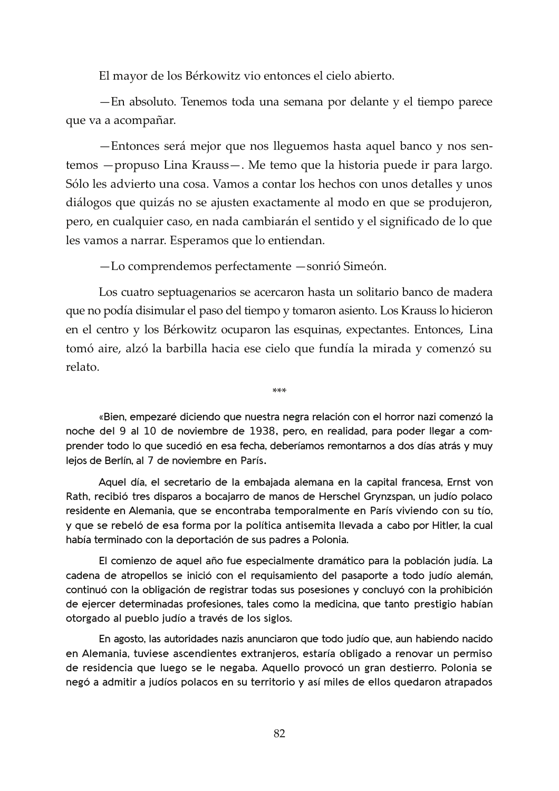El mayor de los Bérkowitz vio entonces el cielo abierto.

- En absoluto. Tenemos toda una semana por delante y el tiempo parece que va a acompañar.

-Entonces será mejor que nos lleguemos hasta aquel banco y nos sentemos - propuso Lina Krauss-. Me temo que la historia puede ir para largo. Sólo les advierto una cosa. Vamos a contar los hechos con unos detalles y unos diálogos que quizás no se ajusten exactamente al modo en que se produjeron, pero, en cualquier caso, en nada cambiarán el sentido y el significado de lo que les vamos a narrar. Esperamos que lo entiendan.

-Lo comprendemos perfectamente -sonrió Simeón.

Los cuatro septuagenarios se acercaron hasta un solitario banco de madera que no podía disimular el paso del tiempo y tomaron asiento. Los Krauss lo hicieron en el centro y los Bérkowitz ocuparon las esquinas, expectantes. Entonces, Lina tomó aire, alzó la barbilla hacia ese cielo que fundía la mirada y comenzó su relato.

«Bien, empezaré diciendo que nuestra negra relación con el horror nazi comenzó la noche del 9 al 10 de noviembre de 1938, pero, en realidad, para poder llegar a comprender todo lo que sucedió en esa fecha, deberíamos remontarnos a dos días atrás y muy lejos de Berlín, al 7 de noviembre en París.

 $***$ 

Aquel día, el secretario de la embajada alemana en la capital francesa, Ernst von Rath, recibió tres disparos a bocajarro de manos de Herschel Grynzspan, un judío polaco residente en Alemania, que se encontraba temporalmente en París viviendo con su tío, y que se rebeló de esa forma por la política antisemita llevada a cabo por Hitler, la cual había terminado con la deportación de sus padres a Polonia.

El comienzo de aquel año fue especialmente dramático para la población judía. La cadena de atropellos se inició con el requisamiento del pasaporte a todo judío alemán, continuó con la obligación de registrar todas sus posesiones y concluyó con la prohibición de ejercer determinadas profesiones, tales como la medicina, que tanto prestigio habían otorgado al pueblo judío a través de los siglos.

En agosto, las autoridades nazis anunciaron que todo judío que, aun habiendo nacido en Alemania, tuviese ascendientes extranjeros, estaría obligado a renovar un permiso de residencia que luego se le negaba. Aquello provocó un gran destierro. Polonia se negó a admitir a judíos polacos en su territorio y así miles de ellos quedaron atrapados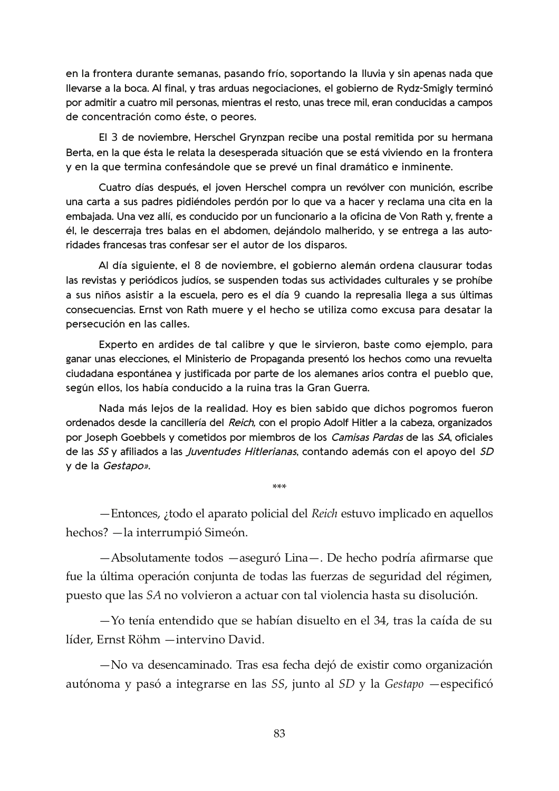en la frontera durante semanas, pasando frío, soportando la lluvia y sin apenas nada que Ilevarse a la boca. Al final, y tras arduas negociaciones, el gobierno de Rydz-Smigly terminó por admitir a cuatro mil personas, mientras el resto, unas trece mil, eran conducidas a campos de concentración como éste, o peores.

El 3 de noviembre, Herschel Grynzpan recibe una postal remitida por su hermana Berta, en la que ésta le relata la desesperada situación que se está viviendo en la frontera y en la que termina confesándole que se prevé un final dramático e inminente.

Cuatro días después, el joven Herschel compra un revólver con munición, escribe una carta a sus padres pidiéndoles perdón por lo que va a hacer y reclama una cita en la embajada. Una vez allí, es conducido por un funcionario a la oficina de Von Rath y, frente a él, le descerraja tres balas en el abdomen, dejándolo malherido, y se entrega a las autoridades francesas tras confesar ser el autor de los disparos.

Al día siguiente, el 8 de noviembre, el gobierno alemán ordena clausurar todas las revistas y periódicos judíos, se suspenden todas sus actividades culturales y se prohíbe a sus niños asistir a la escuela, pero es el día 9 cuando la represalia llega a sus últimas consecuencias. Ernst von Rath muere y el hecho se utiliza como excusa para desatar la persecución en las calles.

Experto en ardides de tal calibre y que le sirvieron, baste como ejemplo, para ganar unas elecciones, el Ministerio de Propaganda presentó los hechos como una revuelta ciudadana espontánea y justificada por parte de los alemanes arios contra el pueblo que, según ellos, los había conducido a la ruina tras la Gran Guerra.

Nada más lejos de la realidad. Hoy es bien sabido que dichos pogromos fueron ordenados desde la cancillería del Reich, con el propio Adolf Hitler a la cabeza, organizados por Joseph Goebbels y cometidos por miembros de los Camisas Pardas de las SA, oficiales de las SS y afiliados a las *Juventudes Hitlerianas*, contando además con el apoyo del SD y de la Gestapo».

-Entonces, ¿todo el aparato policial del Reich estuvo implicado en aquellos hechos? - la interrumpió Simeón.

 $***$ 

-Absolutamente todos -aseguró Lina-. De hecho podría afirmarse que fue la última operación conjunta de todas las fuerzas de seguridad del régimen, puesto que las SA no volvieron a actuar con tal violencia hasta su disolución.

 $-$ Yo tenía entendido que se habían disuelto en el 34, tras la caída de su líder, Ernst Röhm - intervino David.

-No va desencaminado. Tras esa fecha dejó de existir como organización autónoma y pasó a integrarse en las SS, junto al SD y la Gestapo — especificó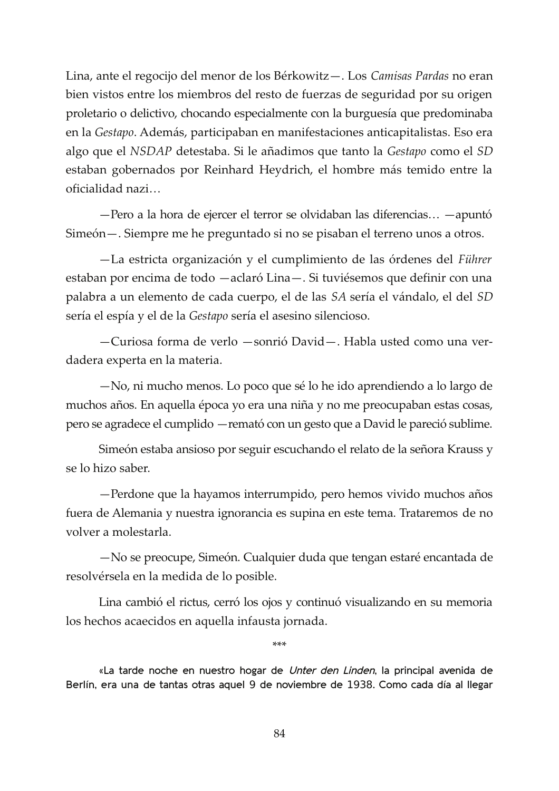Lina, ante el regocijo del menor de los Bérkowitz-. Los Camisas Pardas no eran bien vistos entre los miembros del resto de fuerzas de seguridad por su origen proletario o delictivo, chocando especialmente con la burguesía que predominaba en la Gestapo. Además, participaban en manifestaciones anticapitalistas. Eso era algo que el NSDAP detestaba. Si le añadimos que tanto la Gestapo como el SD estaban gobernados por Reinhard Heydrich, el hombre más temido entre la oficialidad nazi...

-Pero a la hora de ejercer el terror se olvidaban las diferencias... -apuntó Simeón — . Siempre me he preguntado si no se pisaban el terreno unos a otros.

-La estricta organización y el cumplimiento de las órdenes del Führer estaban por encima de todo -aclaró Lina-. Si tuviésemos que definir con una palabra a un elemento de cada cuerpo, el de las SA sería el vándalo, el del SD sería el espía y el de la Gestapo sería el asesino silencioso.

-Curiosa forma de verlo -sonrió David-. Habla usted como una verdadera experta en la materia.

-No, ni mucho menos. Lo poco que sé lo he ido aprendiendo a lo largo de muchos años. En aquella época yo era una niña y no me preocupaban estas cosas, pero se agradece el cumplido — remató con un gesto que a David le pareció sublime.

Simeón estaba ansioso por seguir escuchando el relato de la señora Krauss y se lo hizo saber.

-Perdone que la hayamos interrumpido, pero hemos vivido muchos años fuera de Alemania y nuestra ignorancia es supina en este tema. Trataremos de no volver a molestarla.

-No se preocupe, Simeón. Cualquier duda que tengan estaré encantada de resolvérsela en la medida de lo posible.

Lina cambió el rictus, cerró los ojos y continuó visualizando en su memoria los hechos acaecidos en aquella infausta jornada.

 $***$ 

«La tarde noche en nuestro hogar de Unter den Linden, la principal avenida de Berlín, era una de tantas otras aquel 9 de noviembre de 1938. Como cada día al llegar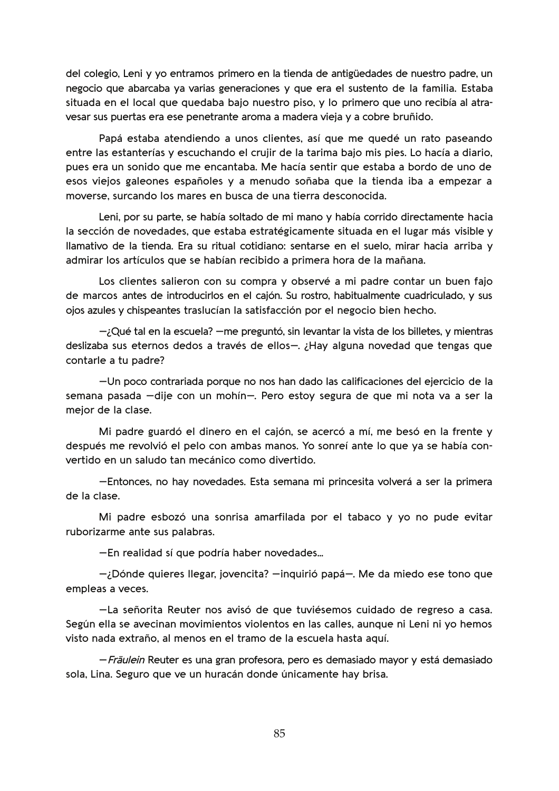del colegio, Leni y yo entramos primero en la tienda de antigüedades de nuestro padre, un negocio que abarcaba ya varias generaciones y que era el sustento de la familia. Estaba situada en el local que quedaba bajo nuestro piso, y lo primero que uno recibía al atravesar sus puertas era ese penetrante aroma a madera vieja y a cobre bruñido.

Papá estaba atendiendo a unos clientes, así que me quedé un rato paseando entre las estanterías y escuchando el crujir de la tarima bajo mis pies. Lo hacía a diario, pues era un sonido que me encantaba. Me hacía sentir que estaba a bordo de uno de esos viejos galeones españoles y a menudo soñaba que la tienda iba a empezar a moverse, surcando los mares en busca de una tierra desconocida.

Leni, por su parte, se había soltado de mi mano y había corrido directamente hacia la sección de novedades, que estaba estratégicamente situada en el lugar más visible y llamativo de la tienda. Era su ritual cotidiano: sentarse en el suelo, mirar hacia arriba y admirar los artículos que se habían recibido a primera hora de la mañana.

Los clientes salieron con su compra y observé a mi padre contar un buen fajo de marcos antes de introducirlos en el cajón. Su rostro, habitualmente cuadriculado, y sus ojos azules y chispeantes traslucían la satisfacción por el negocio bien hecho.

 $-i$ Qué tal en la escuela?  $-$ me preguntó, sin levantar la vista de los billetes, y mientras deslizaba sus eternos dedos a través de ellos-. ¿Hay alguna novedad que tengas que contarle a tu padre?

-Un poco contrariada porque no nos han dado las calificaciones del ejercicio de la semana pasada -dije con un mohín-. Pero estoy segura de que mi nota va a ser la mejor de la clase.

Mi padre guardó el dinero en el cajón, se acercó a mí, me besó en la frente y después me revolvió el pelo con ambas manos. Yo sonreí ante lo que ya se había convertido en un saludo tan mecánico como divertido.

-Entonces, no hay novedades. Esta semana mi princesita volverá a ser la primera de la clase.

Mi padre esbozó una sonrisa amarfilada por el tabaco y yo no pude evitar ruborizarme ante sus palabras.

-En realidad sí que podría haber novedades...

-¿Dónde quieres llegar, jovencita? -inquirió papá-. Me da miedo ese tono que empleas a veces.

-La señorita Reuter nos avisó de que tuviésemos cuidado de regreso a casa. Según ella se avecinan movimientos violentos en las calles, aunque ni Leni ni vo hemos visto nada extraño, al menos en el tramo de la escuela hasta aquí.

- Fräulein Reuter es una gran profesora, pero es demasiado mayor y está demasiado sola. Lina. Seguro que ve un huracán donde únicamente hay brisa.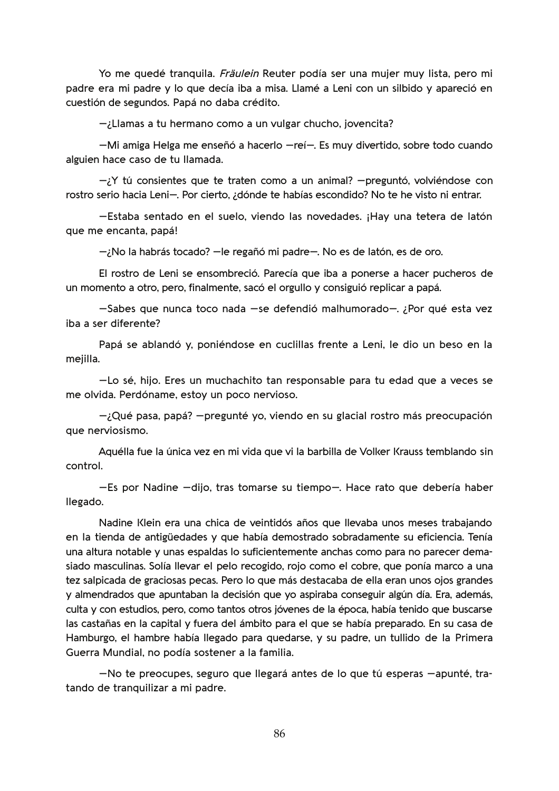Yo me quedé tranquila. Fräulein Reuter podía ser una mujer muy lista, pero mi padre era mi padre y lo que decía iba a misa. Llamé a Leni con un silbido y apareció en cuestión de segundos. Papá no daba crédito.

-¿Llamas a tu hermano como a un vulgar chucho, jovencita?

-Mi amiga Helga me enseñó a hacerlo -reí-. Es muy divertido, sobre todo cuando alguien hace caso de tu llamada.

 $-iY$  tú consientes que te traten como a un animal? -preguntó, volviéndose con rostro serio hacia Leni-. Por cierto, ¿dónde te habías escondido? No te he visto ni entrar.

-Estaba sentado en el suelo, viendo las novedades. ¡Hay una tetera de latón que me encanta, papá!

-;No la habrás tocado? - le regañó mi padre-. No es de latón, es de oro.

El rostro de Leni se ensombreció. Parecía que iba a ponerse a hacer pucheros de un momento a otro, pero, finalmente, sacó el orgullo y consiguió replicar a papá.

-Sabes que nunca toco nada -se defendió malhumorado-. ¿Por qué esta vez iba a ser diferente?

Papá se ablandó y, poniéndose en cuclillas frente a Leni, le dio un beso en la mejilla.

-Lo sé, hijo. Eres un muchachito tan responsable para tu edad que a veces se me olvida. Perdóname, estoy un poco nervioso.

 $-i$ Qué pasa, papá? – pregunté yo, viendo en su glacial rostro más preocupación que nerviosismo.

Aquélla fue la única vez en mi vida que vi la barbilla de Volker Krauss temblando sin control.

-Es por Nadine -dijo, tras tomarse su tiempo-. Hace rato que debería haber llegado.

Nadine Klein era una chica de veintidós años que llevaba unos meses trabajando en la tienda de antigüedades y que había demostrado sobradamente su eficiencia. Tenía una altura notable y unas espaldas lo suficientemente anchas como para no parecer demasiado masculinas. Solía llevar el pelo recogido, rojo como el cobre, que ponía marco a una tez salpicada de graciosas pecas. Pero lo que más destacaba de ella eran unos ojos grandes y almendrados que apuntaban la decisión que yo aspiraba conseguir algún día. Era, además, culta y con estudios, pero, como tantos otros jóvenes de la época, había tenido que buscarse las castañas en la capital y fuera del ámbito para el que se había preparado. En su casa de Hamburgo, el hambre había llegado para quedarse, y su padre, un tullido de la Primera Guerra Mundial, no podía sostener a la familia.

-No te preocupes, seguro que llegará antes de lo que tú esperas -apunté, tratando de tranquilizar a mi padre.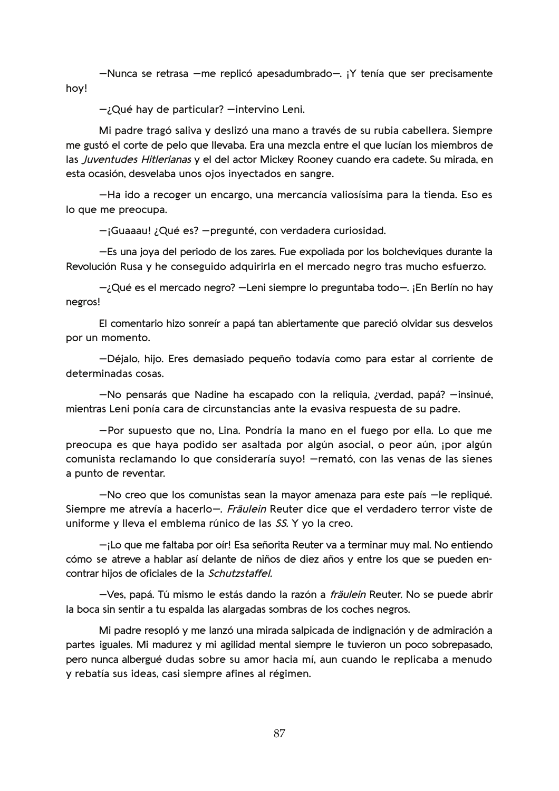-Nunca se retrasa -me replicó apesadumbrado-. ¡Y tenía que ser precisamente hoy!

 $-\lambda$ Qué hay de particular?  $-$ intervino Leni.

Mi padre tragó saliva y deslizó una mano a través de su rubia cabellera. Siempre me gustó el corte de pelo que llevaba. Era una mezcla entre el que lucían los miembros de las Juventudes Hitlerianas y el del actor Mickey Rooney cuando era cadete. Su mirada, en esta ocasión, desvelaba unos ojos inyectados en sangre.

-Ha ido a recoger un encargo, una mercancía valiosísima para la tienda. Eso es lo que me preocupa.

-¡Guaaau! ¿Qué es? - pregunté, con verdadera curiosidad.

-Es una joya del periodo de los zares. Fue expoliada por los bolcheviques durante la Revolución Rusa y he conseguido adquirirla en el mercado negro tras mucho esfuerzo.

 $-i$ Qué es el mercado negro? -Leni siempre lo preguntaba todo-. ¡En Berlín no hay negros!

El comentario hizo sonreír a papá tan abiertamente que pareció olvidar sus desvelos por un momento.

-Déjalo, hijo. Eres demasiado pequeño todavía como para estar al corriente de determinadas cosas.

-No pensarás que Nadine ha escapado con la reliquia, ¿verdad, papá? - insinué, mientras Leni ponía cara de circunstancias ante la evasiva respuesta de su padre.

-Por supuesto que no, Lina. Pondría la mano en el fuego por ella. Lo que me preocupa es que haya podido ser asaltada por algún asocial, o peor aún, ipor algún comunista reclamando lo que consideraría suyo! - remató, con las venas de las sienes a punto de reventar.

-No creo que los comunistas sean la mayor amenaza para este país -le repliqué. Siempre me atrevía a hacerlo-. Fräulein Reuter dice que el verdadero terror viste de uniforme y lleva el emblema rúnico de las SS. Y yo la creo.

 $-i$ Lo que me faltaba por oír! Esa señorita Reuter va a terminar muy mal. No entiendo cómo se atreve a hablar así delante de niños de diez años y entre los que se pueden encontrar hijos de oficiales de la Schutzstaffel.

-Ves, papá. Tú mismo le estás dando la razón a *fräulein* Reuter. No se puede abrir la boca sin sentir a tu espalda las alargadas sombras de los coches negros.

Mi padre resopló y me lanzó una mirada salpicada de indignación y de admiración a partes iguales. Mi madurez y mi agilidad mental siempre le tuvieron un poco sobrepasado, pero nunca albergué dudas sobre su amor hacia mí, aun cuando le replicaba a menudo y rebatía sus ideas, casi siempre afines al régimen.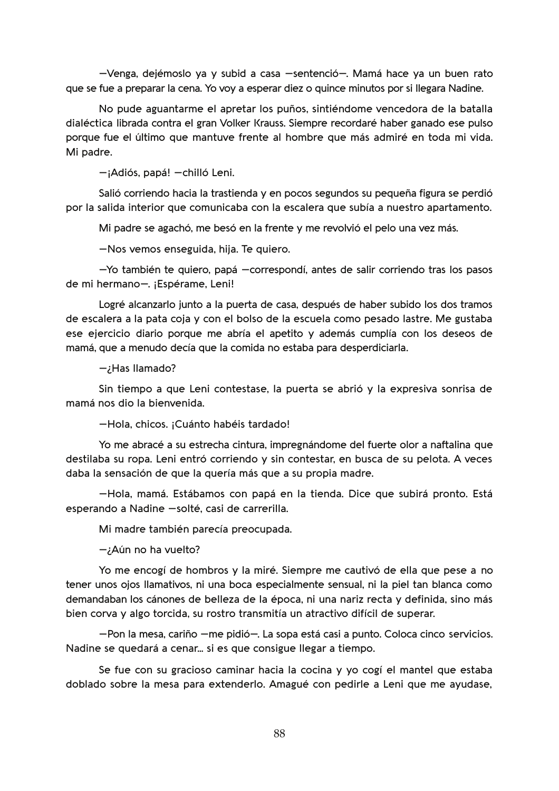-Venga, dejémoslo ya y subid a casa -sentenció-. Mamá hace ya un buen rato que se fue a preparar la cena. Yo voy a esperar diez o quince minutos por si llegara Nadine.

No pude aguantarme el apretar los puños, sintiéndome vencedora de la batalla dialéctica librada contra el gran Volker Krauss. Siempre recordaré haber ganado ese pulso porque fue el último que mantuve frente al hombre que más admiré en toda mi vida. Mi padre.

-¡Adiós, papá! - chilló Leni.

Salió corriendo hacia la trastienda y en pocos segundos su pequeña figura se perdió por la salida interior que comunicaba con la escalera que subía a nuestro apartamento.

Mi padre se agachó, me besó en la frente y me revolvió el pelo una vez más.

-Nos vemos enseguida, hija. Te quiero.

-Yo también te quiero, papá -correspondí, antes de salir corriendo tras los pasos de mi hermano-. ¡Espérame. Leni!

Logré alcanzarlo junto a la puerta de casa, después de haber subido los dos tramos de escalera a la pata coja y con el bolso de la escuela como pesado lastre. Me gustaba ese ejercicio diario porque me abría el apetito y además cumplía con los deseos de mamá, que a menudo decía que la comida no estaba para desperdiciarla.

 $\rightarrow$ Has Ilamado?

Sin tiempo a que Leni contestase, la puerta se abrió y la expresiva sonrisa de mamá nos dio la bienvenida.

-Hola, chicos. ¡Cuánto habéis tardado!

Yo me abracé a su estrecha cintura, impregnándome del fuerte olor a naftalina que destilaba su ropa. Leni entró corriendo y sin contestar, en busca de su pelota. A veces daba la sensación de que la quería más que a su propia madre.

-Hola, mamá. Estábamos con papá en la tienda. Dice que subirá pronto. Está esperando a Nadine -solté, casi de carrerilla.

Mi madre también parecía preocupada.

 $-i$ Aún no ha vuelto?

Yo me encogí de hombros y la miré. Siempre me cautivó de ella que pese a no tener unos ojos llamativos, ni una boca especialmente sensual, ni la piel tan blanca como demandaban los cánones de belleza de la época, ni una nariz recta y definida, sino más bien corva y algo torcida, su rostro transmitía un atractivo difícil de superar.

-Pon la mesa, cariño -me pidió-. La sopa está casi a punto. Coloca cinco servicios. Nadine se quedará a cenar... si es que consigue llegar a tiempo.

Se fue con su gracioso caminar hacia la cocina y yo cogí el mantel que estaba doblado sobre la mesa para extenderlo. Amagué con pedirle a Leni que me ayudase,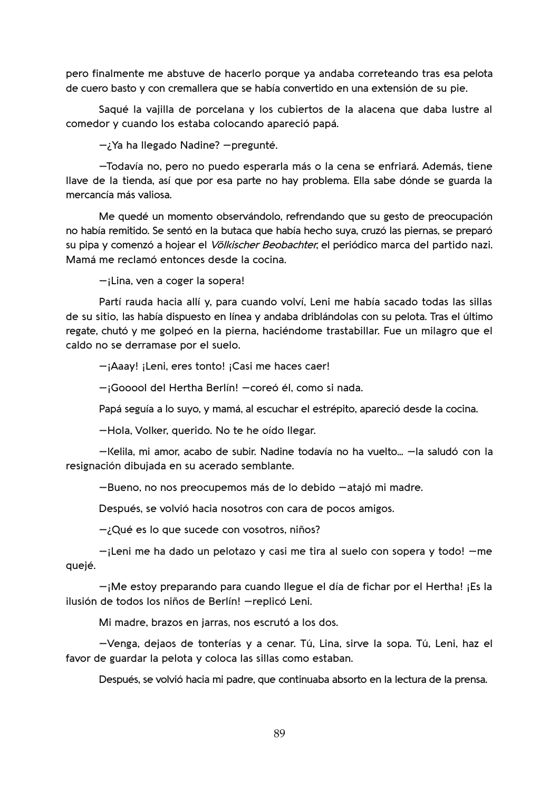pero finalmente me abstuve de hacerlo porque ya andaba correteando tras esa pelota de cuero basto y con cremallera que se había convertido en una extensión de su pie.

Saqué la vajilla de porcelana y los cubiertos de la alacena que daba lustre al comedor y cuando los estaba colocando apareció papá.

 $-i$  Ya ha llegado Nadine? - pregunté.

-Todavía no, pero no puedo esperarla más o la cena se enfriará. Además, tiene Ilave de la tienda, así que por esa parte no hay problema. Ella sabe dónde se guarda la mercancía más valiosa.

Me quedé un momento observándolo, refrendando que su gesto de preocupación no había remitido. Se sentó en la butaca que había hecho suya, cruzó las piernas, se preparó su pipa y comenzó a hojear el *Völkischer Beobachter*, el periódico marca del partido nazi. Mamá me reclamó entonces desde la cocina.

 $-$ ;Lina, ven a coger la sopera!

Partí rauda hacia allí y, para cuando volví, Leni me había sacado todas las sillas de su sitio, las había dispuesto en línea y andaba driblándolas con su pelota. Tras el último regate, chutó y me golpeó en la pierna, haciéndome trastabillar. Fue un milagro que el caldo no se derramase por el suelo.

-¡Aaay! ¡Leni, eres tonto! ¡Casi me haces caer!

-¡Gooool del Hertha Berlín! - coreó él, como si nada.

Papá seguía a lo suyo, y mamá, al escuchar el estrépito, apareció desde la cocina.

-Hola, Volker, querido. No te he oído llegar.

-Kelila, mi amor, acabo de subir. Nadine todavía no ha vuelto... -la saludó con la resignación dibujada en su acerado semblante.

-Bueno, no nos preocupemos más de lo debido -atajó mi madre.

Después, se volvió hacia nosotros con cara de pocos amigos.

-¿Qué es lo que sucede con vosotros, niños?

 $-i$ Leni me ha dado un pelotazo y casi me tira al suelo con sopera y todo!  $-m$ e quejé.

-¡Me estoy preparando para cuando llegue el día de fichar por el Hertha! ¡Es la ilusión de todos los niños de Berlín! - replicó Leni.

Mi madre, brazos en jarras, nos escrutó a los dos.

-Venga, dejaos de tonterías y a cenar. Tú, Lina, sirve la sopa. Tú, Leni, haz el favor de guardar la pelota y coloca las sillas como estaban.

Después, se volvió hacia mi padre, que continuaba absorto en la lectura de la prensa.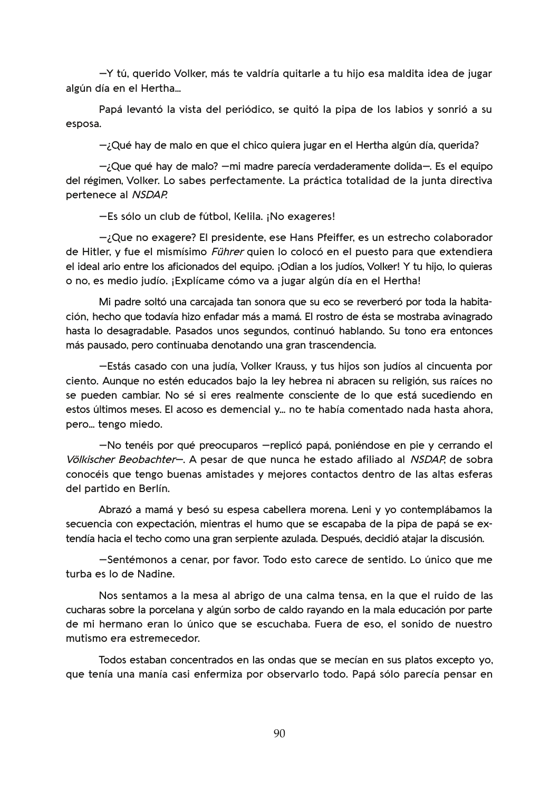- Y tú, querido Volker, más te valdría quitarle a tu hijo esa maldita idea de jugar algún día en el Hertha...

Papá levantó la vista del periódico, se quitó la pipa de los labios y sonrió a su esposa.

 $-i$ Qué hay de malo en que el chico quiera jugar en el Hertha algún día, querida?

-¿Que qué hay de malo? - mi madre parecía verdaderamente dolida-. Es el equipo del régimen, Volker. Lo sabes perfectamente. La práctica totalidad de la junta directiva pertenece al NSDAP.

-Es sólo un club de fútbol, Kelila. ¡No exageres!

 $-i$ Que no exagere? El presidente, ese Hans Pfeiffer, es un estrecho colaborador de Hitler, y fue el mismísimo *Führer* quien lo colocó en el puesto para que extendiera el ideal ario entre los aficionados del equipo. ¡Odian a los judíos, Volker! Y tu hijo, lo quieras o no, es medio judío. ¡Explícame cómo va a jugar algún día en el Hertha!

Mi padre soltó una carcajada tan sonora que su eco se reverberó por toda la habitación, hecho que todavía hizo enfadar más a mamá. El rostro de ésta se mostraba avinagrado hasta lo desagradable. Pasados unos segundos, continuó hablando. Su tono era entonces más pausado, pero continuaba denotando una gran trascendencia.

-Estás casado con una judía, Volker Krauss, y tus hijos son judíos al cincuenta por ciento. Aunque no estén educados bajo la ley hebrea ni abracen su religión, sus raíces no se pueden cambiar. No sé si eres realmente consciente de lo que está sucediendo en estos últimos meses. El acoso es demencial y... no te había comentado nada hasta ahora, pero... tengo miedo.

-No tenéis por qué preocuparos -replicó papá, poniéndose en pie y cerrando el Völkischer Beobachter-. A pesar de que nunca he estado afiliado al NSDAP, de sobra conocéis que tengo buenas amistades y mejores contactos dentro de las altas esferas del partido en Berlín.

Abrazó a mamá y besó su espesa cabellera morena. Leni y yo contemplábamos la secuencia con expectación, mientras el humo que se escapaba de la pipa de papá se extendía hacia el techo como una gran serpiente azulada. Después, decidió atajar la discusión.

-Sentémonos a cenar, por favor. Todo esto carece de sentido. Lo único que me turba es lo de Nadine.

Nos sentamos a la mesa al abrigo de una calma tensa, en la que el ruido de las cucharas sobre la porcelana y algún sorbo de caldo rayando en la mala educación por parte de mi hermano eran lo único que se escuchaba. Fuera de eso, el sonido de nuestro mutismo era estremecedor.

Todos estaban concentrados en las ondas que se mecían en sus platos excepto yo, que tenía una manía casi enfermiza por observarlo todo. Papá sólo parecía pensar en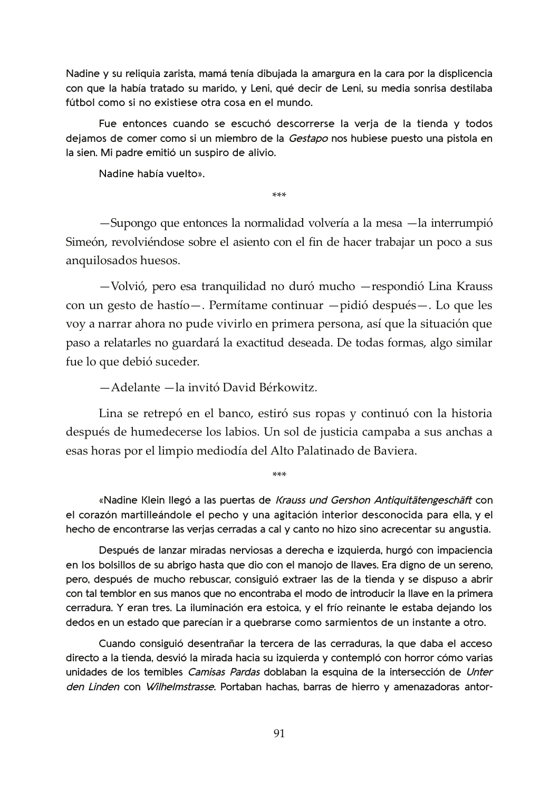Nadine y su reliquia zarista, mamá tenía dibujada la amargura en la cara por la displicencia con que la había tratado su marido, y Leni, qué decir de Leni, su media sonrisa destilaba fútbol como si no existiese otra cosa en el mundo.

Fue entonces cuando se escuchó descorrerse la verja de la tienda y todos dejamos de comer como si un miembro de la Gestapo nos hubiese puesto una pistola en la sien. Mi padre emitió un suspiro de alivio.

Nadine había vuelto».

\*\*\*

-Supongo que entonces la normalidad volvería a la mesa -la interrumpió Simeón, revolviéndose sobre el asiento con el fin de hacer trabajar un poco a sus anquilosados huesos.

-Volvió, pero esa tranquilidad no duró mucho - respondió Lina Krauss con un gesto de hastío-. Permítame continuar -pidió después-. Lo que les voy a narrar ahora no pude vivirlo en primera persona, así que la situación que paso a relatarles no guardará la exactitud deseada. De todas formas, algo similar fue lo que debió suceder.

-Adelante -la invitó David Bérkowitz.

Lina se retrepó en el banco, estiró sus ropas y continuó con la historia después de humedecerse los labios. Un sol de justicia campaba a sus anchas a esas horas por el limpio mediodía del Alto Palatinado de Baviera.

«Nadine Klein llegó a las puertas de Krauss und Gershon Antiquitätengeschäft con el corazón martilleándole el pecho y una agitación interior desconocida para ella, y el hecho de encontrarse las verjas cerradas a cal y canto no hizo sino acrecentar su angustia.

Después de lanzar miradas nerviosas a derecha e izquierda, hurgó con impaciencia en los bolsillos de su abrigo hasta que dio con el manojo de llaves. Era digno de un sereno, pero, después de mucho rebuscar, consiguió extraer las de la tienda y se dispuso a abrir con tal temblor en sus manos que no encontraba el modo de introducir la llave en la primera cerradura. Y eran tres. La iluminación era estoica, y el frío reinante le estaba dejando los dedos en un estado que parecían ir a quebrarse como sarmientos de un instante a otro.

Cuando consiguió desentrañar la tercera de las cerraduras, la que daba el acceso directo a la tienda, desvió la mirada hacia su izquierda y contempló con horror cómo varias unidades de los temibles Camisas Pardas doblaban la esquina de la intersección de Unter den Linden con Wilhelmstrasse. Portaban hachas, barras de hierro y amenazadoras antor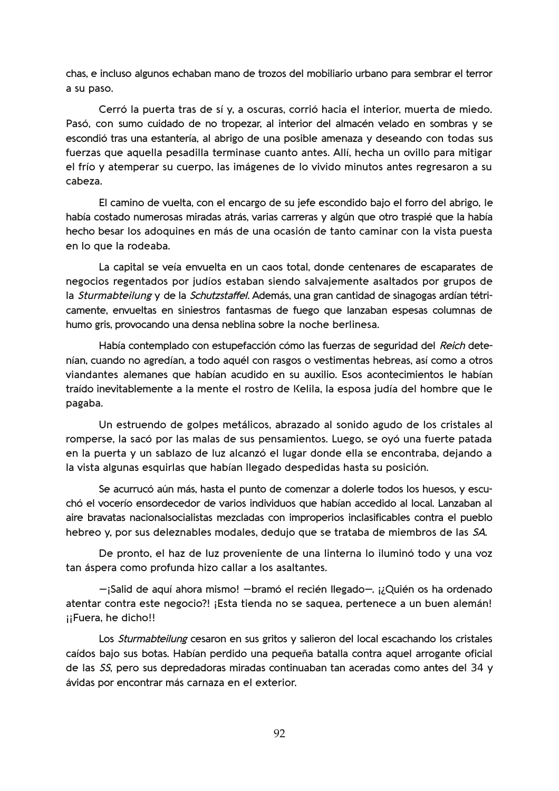chas, e incluso algunos echaban mano de trozos del mobiliario urbano para sembrar el terror a su paso.

Cerró la puerta tras de sí y, a oscuras, corrió hacia el interior, muerta de miedo. Pasó, con sumo cuidado de no tropezar, al interior del almacén velado en sombras y se escondió tras una estantería, al abrigo de una posible amenaza y deseando con todas sus fuerzas que aquella pesadilla terminase cuanto antes. Allí, hecha un ovillo para mitigar el frío y atemperar su cuerpo, las imágenes de lo vivido minutos antes regresaron a su cabeza.

El camino de vuelta, con el encargo de su jefe escondido bajo el forro del abrigo, le había costado numerosas miradas atrás, varias carreras y algún que otro traspié que la había hecho besar los adoquines en más de una ocasión de tanto caminar con la vista puesta en lo que la rodeaba.

La capital se veía envuelta en un caos total, donde centenares de escaparates de negocios regentados por judíos estaban siendo salvajemente asaltados por grupos de la *Sturmabteilung* y de la *Schutzstaffel*. Además, una gran cantidad de sinagogas ardían tétricamente, envueltas en siniestros fantasmas de fuego que lanzaban espesas columnas de humo gris, provocando una densa neblina sobre la noche berlinesa.

Había contemplado con estupefacción cómo las fuerzas de seguridad del Reich detenían, cuando no agredían, a todo aquél con rasgos o vestimentas hebreas, así como a otros viandantes alemanes que habían acudido en su auxilio. Esos acontecimientos le habían traído inevitablemente a la mente el rostro de Kelila, la esposa judía del hombre que le pagaba.

Un estruendo de golpes metálicos, abrazado al sonido agudo de los cristales al romperse, la sacó por las malas de sus pensamientos. Luego, se ovó una fuerte patada en la puerta y un sablazo de luz alcanzó el lugar donde ella se encontraba, dejando a la vista algunas esquirlas que habían llegado despedidas hasta su posición.

Se acurrucó aún más, hasta el punto de comenzar a dolerle todos los huesos, y escuchó el vocerío ensordecedor de varios individuos que habían accedido al local. Lanzaban al aire bravatas nacionalsocialistas mezcladas con improperios inclasificables contra el pueblo hebreo y, por sus deleznables modales, dedujo que se trataba de miembros de las SA.

De pronto, el haz de luz proveniente de una linterna lo iluminó todo y una voz tan áspera como profunda hizo callar a los asaltantes.

-;Salid de aquí ahora mismo! -bramó el recién llegado-. ¡¿Quién os ha ordenado atentar contra este negocio?! ¡Esta tienda no se saguea, pertenece a un buen alemán! ¡¡Fuera, he dicho!!

Los Sturmabteilung cesaron en sus gritos y salieron del local escachando los cristales caídos bajo sus botas. Habían perdido una pequeña batalla contra aquel arrogante oficial de las SS, pero sus depredadoras miradas continuaban tan aceradas como antes del 34 y ávidas por encontrar más carnaza en el exterior.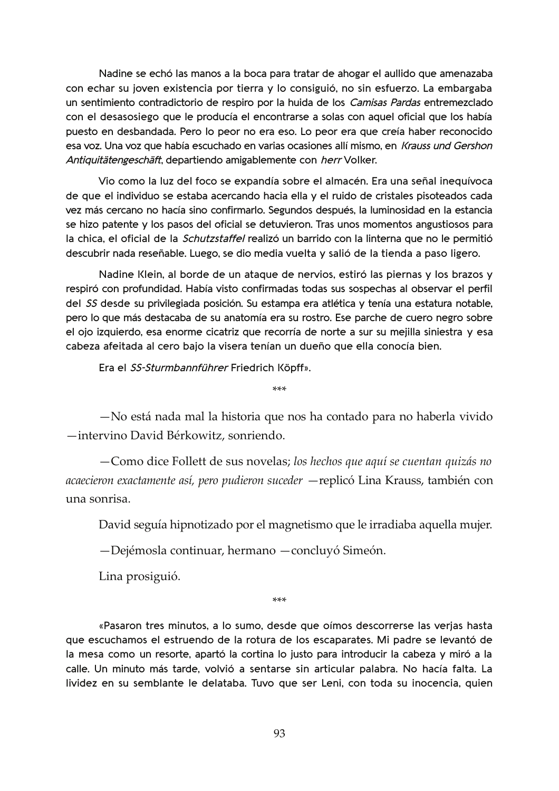Nadine se echó las manos a la boca para tratar de ahogar el aullido que amenazaba con echar su joven existencia por tierra y lo consiguió, no sin esfuerzo. La embargaba un sentimiento contradictorio de respiro por la huida de los Camisas Pardas entremezclado con el desasosiego que le producía el encontrarse a solas con aquel oficial que los había puesto en desbandada. Pero lo peor no era eso. Lo peor era que creía haber reconocido esa voz. Una voz que había escuchado en varias ocasiones allí mismo, en Krauss und Gershon Antiquitätengeschäft, departiendo amigablemente con herr Volker.

Vio como la luz del foco se expandía sobre el almacén. Era una señal inequívoca de que el individuo se estaba acercando hacia ella y el ruido de cristales pisoteados cada vez más cercano no hacía sino confirmarlo. Segundos después, la luminosidad en la estancia se hizo patente y los pasos del oficial se detuvieron. Tras unos momentos angustiosos para la chica, el oficial de la Schutzstaffel realizó un barrido con la linterna que no le permitió descubrir nada reseñable. Luego, se dio media vuelta y salió de la tienda a paso ligero.

Nadine Klein, al borde de un ataque de nervios, estiró las piernas y los brazos y respiró con profundidad. Había visto confirmadas todas sus sospechas al observar el perfil del SS desde su privilegiada posición. Su estampa era atlética y tenía una estatura notable, pero lo que más destacaba de su anatomía era su rostro. Ese parche de cuero negro sobre el ojo izquierdo, esa enorme cicatriz que recorría de norte a sur su mejilla siniestra y esa cabeza afeitada al cero bajo la visera tenían un dueño que ella conocía bien.

Era el SS-Sturmbannführer Friedrich Köpff».

-No está nada mal la historia que nos ha contado para no haberla vivido -intervino David Bérkowitz, sonriendo.

 $***$ 

-Como dice Follett de sus novelas; los hechos que aquí se cuentan quizás no acaecieron exactamente así, pero pudieron suceder — replicó Lina Krauss, también con una sonrisa.

David seguía hipnotizado por el magnetismo que le irradiaba aquella mujer.

-Dejémosla continuar, hermano -concluyó Simeón.

Lina prosiguió.

 $***$ 

«Pasaron tres minutos, a lo sumo, desde que oímos descorrerse las verjas hasta que escuchamos el estruendo de la rotura de los escaparates. Mi padre se levantó de la mesa como un resorte, apartó la cortina lo justo para introducir la cabeza y miró a la calle. Un minuto más tarde, volvió a sentarse sin articular palabra. No hacía falta. La lividez en su semblante le delataba. Tuvo que ser Leni, con toda su inocencia, quien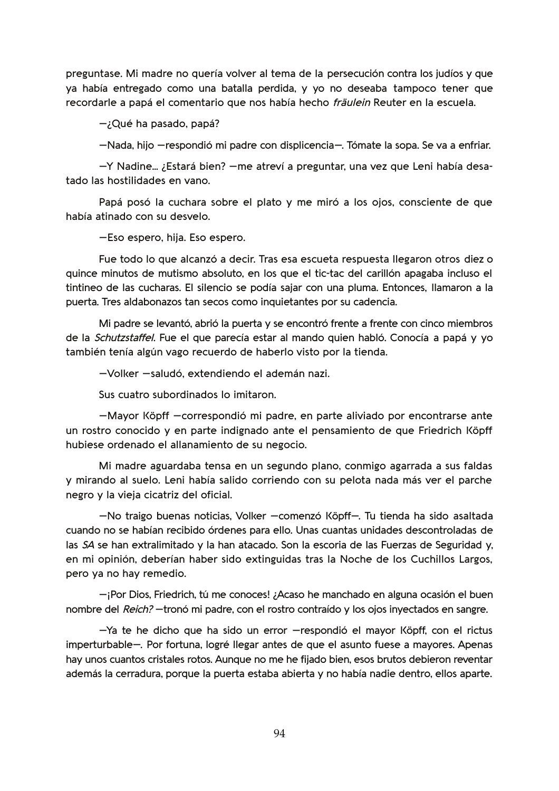preguntase. Mi madre no quería volver al tema de la persecución contra los judíos y que ya había entregado como una batalla perdida, y yo no deseaba tampoco tener que recordarle a papá el comentario que nos había hecho fräulein Reuter en la escuela.

 $-i$ Qué ha pasado, papá?

-Nada, hijo -respondió mi padre con displicencia-. Tómate la sopa. Se va a enfriar.

-Y Nadine... ¿Estará bien? - me atreví a preguntar, una vez que Leni había desatado las hostilidades en vano.

Papá posó la cuchara sobre el plato y me miró a los ojos, consciente de que había atinado con su desvelo.

-Eso espero, hija. Eso espero.

Fue todo lo que alcanzó a decir. Tras esa escueta respuesta llegaron otros diez o quince minutos de mutismo absoluto, en los que el tic-tac del carillón apagaba incluso el tintineo de las cucharas. El silencio se podía sajar con una pluma. Entonces, llamaron a la puerta. Tres aldabonazos tan secos como inquietantes por su cadencia.

Mi padre se levantó, abrió la puerta y se encontró frente a frente con cinco miembros de la Schutzstaffel. Fue el que parecía estar al mando quien habló. Conocía a papá y yo también tenía algún vago recuerdo de haberlo visto por la tienda.

-Volker -saludó, extendiendo el ademán nazi.

Sus cuatro subordinados lo imitaron.

-Mayor Köpff -correspondió mi padre, en parte aliviado por encontrarse ante un rostro conocido y en parte indignado ante el pensamiento de que Friedrich Köpff hubiese ordenado el allanamiento de su negocio.

Mi madre aguardaba tensa en un segundo plano, conmigo agarrada a sus faldas y mirando al suelo. Leni había salido corriendo con su pelota nada más ver el parche negro y la vieja cicatriz del oficial.

-No traigo buenas noticias, Volker -comenzó Köpff-. Tu tienda ha sido asaltada cuando no se habían recibido órdenes para ello. Unas cuantas unidades descontroladas de las SA se han extralimitado y la han atacado. Son la escoria de las Fuerzas de Seguridad y, en mi opinión, deberían haber sido extinguidas tras la Noche de los Cuchillos Largos, pero ya no hay remedio.

 $-i$ Por Dios, Friedrich, tú me conoces! ¿Acaso he manchado en alguna ocasión el buen nombre del Reich? - tronó mi padre, con el rostro contraído y los ojos inyectados en sangre.

-Ya te he dicho que ha sido un error - respondió el mayor Köpff, con el rictus imperturbable-. Por fortuna, logré llegar antes de que el asunto fuese a mayores. Apenas hay unos cuantos cristales rotos. Aunque no me he fijado bien, esos brutos debieron reventar además la cerradura, porque la puerta estaba abierta y no había nadie dentro, ellos aparte.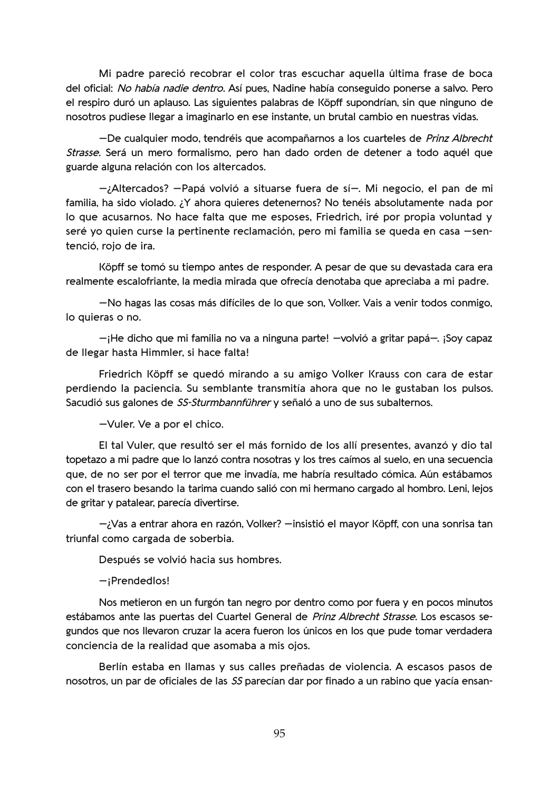Mi padre pareció recobrar el color tras escuchar aquella última frase de boca del oficial: No había nadie dentro. Así pues, Nadine había conseguido ponerse a salvo. Pero el respiro duró un aplauso. Las siguientes palabras de Köpff supondrían, sin que ninguno de nosotros pudiese llegar a imaginarlo en ese instante, un brutal cambio en nuestras vidas.

-De cualquier modo, tendréis que acompañarnos a los cuarteles de Prinz Albrecht Strasse. Será un mero formalismo, pero han dado orden de detener a todo aquél que guarde alguna relación con los altercados.

-¿Altercados? —Papá volvió a situarse fuera de sí—. Mi negocio, el pan de mi familia, ha sido violado. ¿Y ahora quieres detenernos? No tenéis absolutamente nada por lo que acusarnos. No hace falta que me esposes, Friedrich, iré por propia voluntad y seré yo quien curse la pertinente reclamación, pero mi familia se queda en casa -sentenció, rojo de ira.

Köpff se tomó su tiempo antes de responder. A pesar de que su devastada cara era realmente escalofriante, la media mirada que ofrecía denotaba que apreciaba a mi padre.

-No hagas las cosas más difíciles de lo que son, Volker. Vais a venir todos conmigo, lo quieras o no.

-¡He dicho que mi familia no va a ninguna parte! - volvió a gritar papá-. ¡Soy capaz de llegar hasta Himmler, si hace falta!

Friedrich Köpff se quedó mirando a su amigo Volker Krauss con cara de estar perdiendo la paciencia. Su semblante transmitía ahora que no le gustaban los pulsos. Sacudió sus galones de SS-Sturmbannführer y señaló a uno de sus subalternos.

-Vuler. Ve a por el chico.

El tal Vuler, que resultó ser el más fornido de los allí presentes, avanzó y dio tal topetazo a mi padre que lo lanzó contra nosotras y los tres caímos al suelo, en una secuencia que, de no ser por el terror que me invadía, me habría resultado cómica. Aún estábamos con el trasero besando la tarima cuando salió con mi hermano cargado al hombro. Leni, lejos de gritar y patalear, parecía divertirse.

-¿Vas a entrar ahora en razón, Volker? - insistió el mayor Köpff, con una sonrisa tan triunfal como cargada de soberbia.

Después se volvió hacia sus hombres.

-iPrendedlos!

Nos metieron en un furgón tan negro por dentro como por fuera y en pocos minutos estábamos ante las puertas del Cuartel General de Prinz Albrecht Strasse. Los escasos segundos que nos llevaron cruzar la acera fueron los únicos en los que pude tomar verdadera conciencia de la realidad que asomaba a mis ojos.

Berlín estaba en llamas y sus calles preñadas de violencia. A escasos pasos de nosotros, un par de oficiales de las SS parecían dar por finado a un rabino que yacía ensan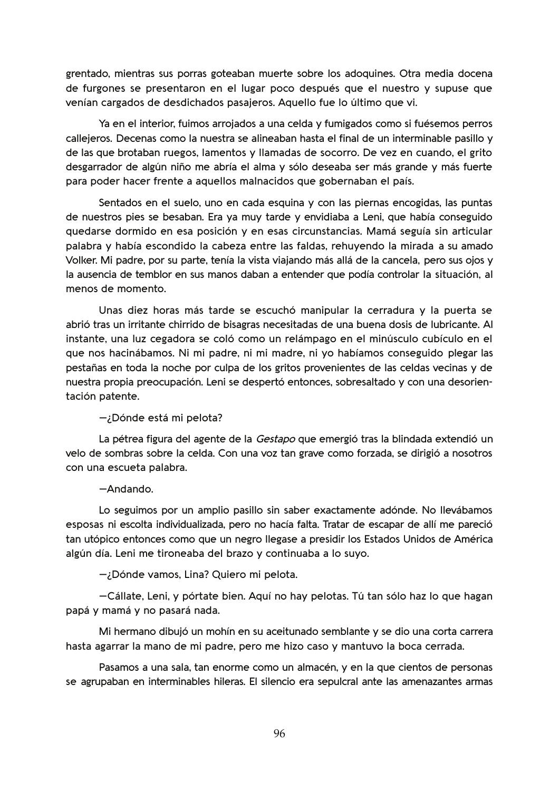grentado, mientras sus porras goteaban muerte sobre los adoquines. Otra media docena de furgones se presentaron en el lugar poco después que el nuestro y supuse que venían cargados de desdichados pasajeros. Aquello fue lo último que vi.

Ya en el interior, fuimos arrojados a una celda y fumigados como si fuésemos perros callejeros. Decenas como la nuestra se alineaban hasta el final de un interminable pasillo y de las que brotaban ruegos, lamentos y llamadas de socorro. De vez en cuando, el grito desgarrador de algún niño me abría el alma y sólo deseaba ser más grande y más fuerte para poder hacer frente a aquellos malnacidos que gobernaban el país.

Sentados en el suelo, uno en cada esquina y con las piernas encogidas, las puntas de nuestros pies se besaban. Era ya muy tarde y envidiaba a Leni, que había conseguido quedarse dormido en esa posición y en esas circunstancias. Mamá seguía sin articular palabra y había escondido la cabeza entre las faldas, rehuyendo la mirada a su amado Volker. Mi padre, por su parte, tenía la vista viajando más allá de la cancela, pero sus ojos y la ausencia de temblor en sus manos daban a entender que podía controlar la situación, al menos de momento.

Unas diez horas más tarde se escuchó manipular la cerradura y la puerta se abrió tras un irritante chirrido de bisagras necesitadas de una buena dosis de lubricante. Al instante, una luz cegadora se coló como un relámpago en el minúsculo cubículo en el que nos hacinábamos. Ni mi padre, ni mi madre, ni yo habíamos conseguido plegar las pestañas en toda la noche por culpa de los gritos provenientes de las celdas vecinas y de nuestra propia preocupación. Leni se despertó entonces, sobresaltado y con una desorientación patente.

## -;Dónde está mi pelota?

La pétrea figura del agente de la Gestapo que emergió tras la blindada extendió un velo de sombras sobre la celda. Con una voz tan grave como forzada, se dirigió a nosotros con una escueta palabra.

## -Andando.

Lo seguimos por un amplio pasillo sin saber exactamente adónde. No llevábamos esposas ni escolta individualizada, pero no hacía falta. Tratar de escapar de allí me pareció tan utópico entonces como que un negro llegase a presidir los Estados Unidos de América algún día. Leni me tironeaba del brazo y continuaba a lo suyo.

-¿Dónde vamos, Lina? Quiero mi pelota.

-Cállate, Leni, y pórtate bien. Aquí no hay pelotas. Tú tan sólo haz lo que hagan papá y mamá y no pasará nada.

Mi hermano dibujó un mohín en su aceitunado semblante y se dio una corta carrera hasta agarrar la mano de mi padre, pero me hizo caso y mantuvo la boca cerrada.

Pasamos a una sala, tan enorme como un almacén, y en la que cientos de personas se agrupaban en interminables hileras. El silencio era sepulcral ante las amenazantes armas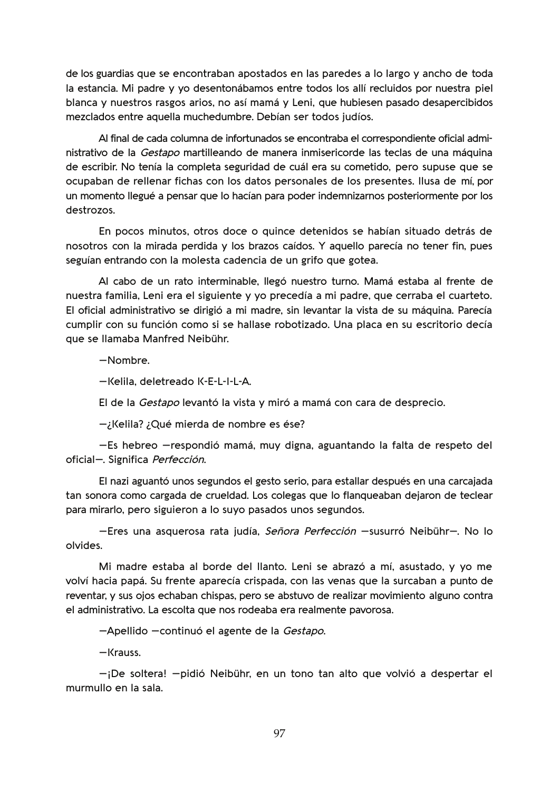de los guardias que se encontraban apostados en las paredes a lo largo y ancho de toda la estancia. Mi padre y yo desentonábamos entre todos los allí recluidos por nuestra piel blanca y nuestros rasgos arios, no así mamá y Leni, que hubiesen pasado desapercibidos mezclados entre aquella muchedumbre. Debían ser todos judíos.

Al final de cada columna de infortunados se encontraba el correspondiente oficial administrativo de la Gestapo martilleando de manera inmisericorde las teclas de una máquina de escribir. No tenía la completa seguridad de cuál era su cometido, pero supuse que se ocupaban de rellenar fichas con los datos personales de los presentes. Ilusa de mí, por un momento llegué a pensar que lo hacían para poder indemnizarnos posteriormente por los destrozos.

En pocos minutos, otros doce o quince detenidos se habían situado detrás de nosotros con la mirada perdida y los brazos caídos. Y aquello parecía no tener fin, pues seguían entrando con la molesta cadencia de un grifo que gotea.

Al cabo de un rato interminable, llegó nuestro turno. Mamá estaba al frente de nuestra familia, Leni era el siguiente y yo precedía a mi padre, que cerraba el cuarteto. El oficial administrativo se dirigió a mi madre, sin levantar la vista de su máquina. Parecía cumplir con su función como si se hallase robotizado. Una placa en su escritorio decía que se llamaba Manfred Neibühr.

-Nombre.

-Kelila, deletreado K-E-L-I-L-A.

El de la Gestapo levantó la vista y miró a mamá con cara de desprecio.

–¿Kelila? ¿Qué mierda de nombre es ése?

-Es hebreo -respondió mamá, muy digna, aguantando la falta de respeto del oficial-. Significa Perfección.

El nazi aguantó unos segundos el gesto serio, para estallar después en una carcajada tan sonora como cargada de crueldad. Los colegas que lo flanqueaban dejaron de teclear para mirarlo, pero siguieron a lo suyo pasados unos segundos.

-Eres una asquerosa rata judía, Señora Perfección -susurró Neibühr-. No lo olvides.

Mi madre estaba al borde del llanto. Leni se abrazó a mí, asustado, y yo me volví hacia papá. Su frente aparecía crispada, con las venas que la surcaban a punto de reventar, y sus ojos echaban chispas, pero se abstuvo de realizar movimiento alguno contra el administrativo. La escolta que nos rodeaba era realmente pavorosa.

-Apellido -continuó el agente de la Gestapo.

 $-Krauss.$ 

-¡De soltera! - pidió Neibühr, en un tono tan alto que volvió a despertar el murmullo en la sala.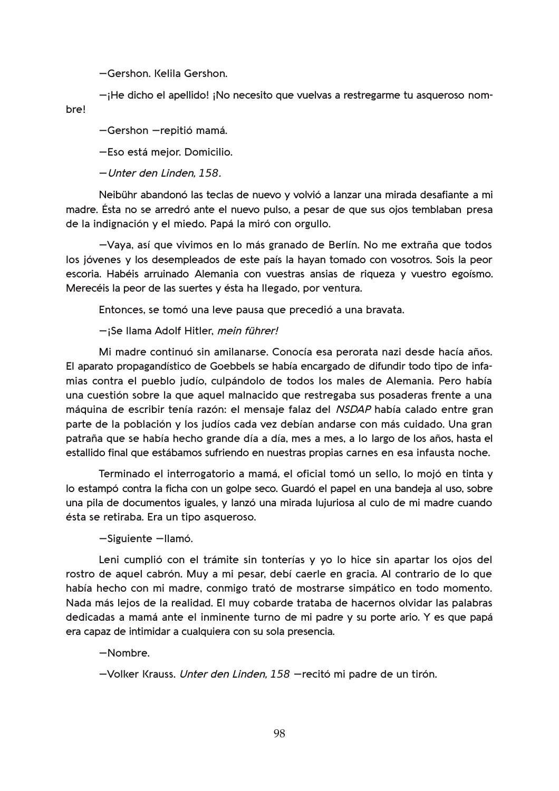-Gershon. Kelila Gershon.

 $-i$ He dicho el apellido! ¡No necesito que vuelvas a restregarme tu asqueroso nombre!

-Gershon -repitió mamá.

-Eso está mejor. Domicilio.

-Unter den Linden, 158.

Neibühr abandonó las teclas de nuevo y volvió a lanzar una mirada desafiante a mi madre. Ésta no se arredró ante el nuevo pulso, a pesar de que sus ojos temblaban presa de la indignación y el miedo. Papá la miró con orgullo.

-Vaya, así que vivimos en lo más granado de Berlín. No me extraña que todos los jóvenes y los desempleados de este país la hayan tomado con vosotros. Sois la peor escoria. Habéis arruinado Alemania con vuestras ansias de rigueza y vuestro egoísmo. Merecéis la peor de las suertes y ésta ha llegado, por ventura.

Entonces, se tomó una leve pausa que precedió a una bravata.

-iSe Ilama Adolf Hitler, mein führer!

Mi madre continuó sin amilanarse. Conocía esa perorata nazi desde hacía años. El aparato propagandístico de Goebbels se había encargado de difundir todo tipo de infamias contra el pueblo judío, culpándolo de todos los males de Alemania. Pero había una cuestión sobre la que aquel malnacido que restregaba sus posaderas frente a una máquina de escribir tenía razón: el mensaje falaz del NSDAP había calado entre gran parte de la población y los judíos cada vez debían andarse con más cuidado. Una gran patraña que se había hecho grande día a día, mes a mes, a lo largo de los años, hasta el estallido final que estábamos sufriendo en nuestras propias carnes en esa infausta noche.

Terminado el interrogatorio a mamá, el oficial tomó un sello, lo mojó en tinta y lo estampó contra la ficha con un golpe seco. Guardó el papel en una bandeja al uso, sobre una pila de documentos iguales, y lanzó una mirada lujuriosa al culo de mi madre cuando ésta se retiraba. Era un tipo asqueroso.

-Siguiente -Ilamó.

Leni cumplió con el trámite sin tonterías y yo lo hice sin apartar los ojos del rostro de aquel cabrón. Muy a mi pesar, debí caerle en gracia. Al contrario de lo que había hecho con mi madre, conmigo trató de mostrarse simpático en todo momento. Nada más lejos de la realidad. El muy cobarde trataba de hacernos olvidar las palabras dedicadas a mamá ante el inminente turno de mi padre y su porte ario. Y es que papá era capaz de intimidar a cualquiera con su sola presencia.

-Nombre.

-Volker Krauss. Unter den Linden. 158 -recitó mi padre de un tirón.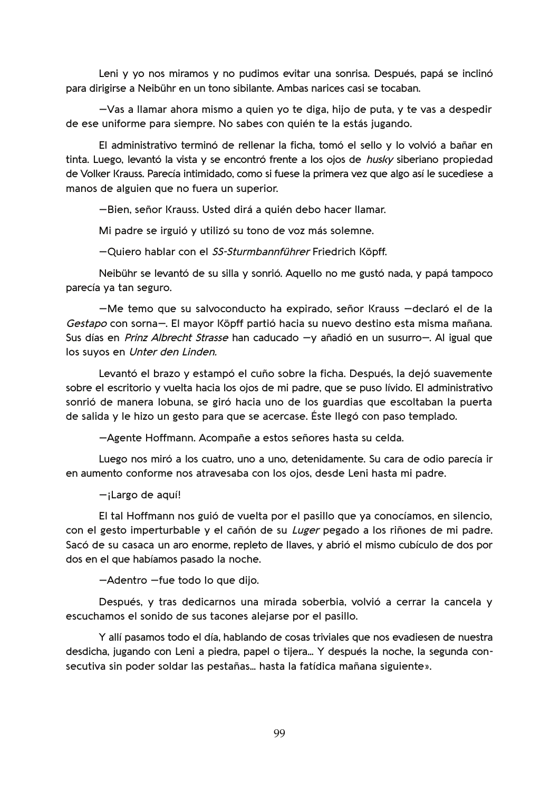Leni y yo nos miramos y no pudimos evitar una sonrisa. Después, papá se inclinó para dirigirse a Neibühr en un tono sibilante. Ambas narices casi se tocaban.

-Vas a llamar ahora mismo a quien yo te diga, hijo de puta, y te vas a despedir de ese uniforme para siempre. No sabes con quién te la estás jugando.

El administrativo terminó de rellenar la ficha, tomó el sello y lo volvió a bañar en tinta. Luego, levantó la vista y se encontró frente a los ojos de *husky* siberiano propiedad de Volker Krauss. Parecía intimidado, como si fuese la primera vez que algo así le sucediese a manos de alguien que no fuera un superior.

-Bien, señor Krauss. Usted dirá a quién debo hacer llamar.

Mi padre se irguió y utilizó su tono de voz más solemne.

-Quiero hablar con el SS-Sturmbannführer Friedrich Köpff.

Neibühr se levantó de su silla y sonrió. Aquello no me gustó nada, y papá tampoco parecía ya tan seguro.

-Me temo que su salvoconducto ha expirado, señor Krauss -declaró el de la Gestapo con sorna-. El mayor Köpff partió hacia su nuevo destino esta misma mañana. Sus días en Prinz Albrecht Strasse han caducado -y añadió en un susurro-. Al igual que los suyos en Unter den Linden.

Levantó el brazo y estampó el cuño sobre la ficha. Después, la dejó suavemente sobre el escritorio y vuelta hacia los ojos de mi padre, que se puso lívido. El administrativo sonrió de manera lobuna, se giró hacia uno de los guardias que escoltaban la puerta de salida y le hizo un gesto para que se acercase. Éste llegó con paso templado.

-Agente Hoffmann. Acompañe a estos señores hasta su celda.

Luego nos miró a los cuatro, uno a uno, detenidamente. Su cara de odio parecía ir en aumento conforme nos atravesaba con los ojos, desde Leni hasta mi padre.

 $-i$ Largo de aquí!

El tal Hoffmann nos guió de vuelta por el pasillo que ya conocíamos, en silencio, con el gesto imperturbable y el cañón de su Luger pegado a los riñones de mi padre. Sacó de su casaca un aro enorme, repleto de llaves, y abrió el mismo cubículo de dos por dos en el que habíamos pasado la noche.

-Adentro -fue todo lo que dijo.

Después, y tras dedicarnos una mirada soberbia, volvió a cerrar la cancela y escuchamos el sonido de sus tacones alejarse por el pasillo.

Y allí pasamos todo el día, hablando de cosas triviales que nos evadiesen de nuestra desdicha, jugando con Leni a piedra, papel o tijera... Y después la noche, la segunda consecutiva sin poder soldar las pestañas... hasta la fatídica mañana siguiente».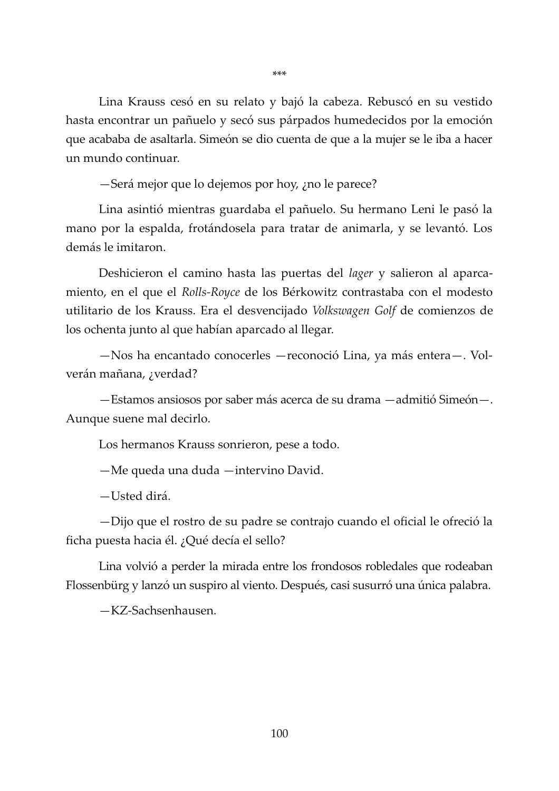Lina Krauss cesó en su relato y bajó la cabeza. Rebuscó en su vestido hasta encontrar un pañuelo y secó sus párpados humedecidos por la emoción que acababa de asaltarla. Simeón se dio cuenta de que a la mujer se le iba a hacer un mundo continuar.

-Será mejor que lo dejemos por hoy,  $\chi$ no le parece?

Lina asintió mientras guardaba el pañuelo. Su hermano Leni le pasó la mano por la espalda, frotándosela para tratar de animarla, y se levantó. Los demás le imitaron.

Deshicieron el camino hasta las puertas del *lager* y salieron al aparcamiento, en el que el Rolls-Royce de los Bérkowitz contrastaba con el modesto utilitario de los Krauss. Era el desvencijado Volkswagen Golf de comienzos de los ochenta junto al que habían aparcado al llegar.

-Nos ha encantado conocerles - reconoció Lina, ya más entera-. Volverán mañana, ¿verdad?

-Estamos ansiosos por saber más acerca de su drama -admitió Simeón-. Aunque suene mal decirlo.

Los hermanos Krauss sonrieron, pese a todo.

-Me queda una duda -intervino David.

-Usted dirá.

-Dijo que el rostro de su padre se contrajo cuando el oficial le ofreció la ficha puesta hacia él. ¿Qué decía el sello?

Lina volvió a perder la mirada entre los frondosos robledales que rodeaban Flossenbürg y lanzó un suspiro al viento. Después, casi susurró una única palabra.

-KZ-Sachsenhausen.